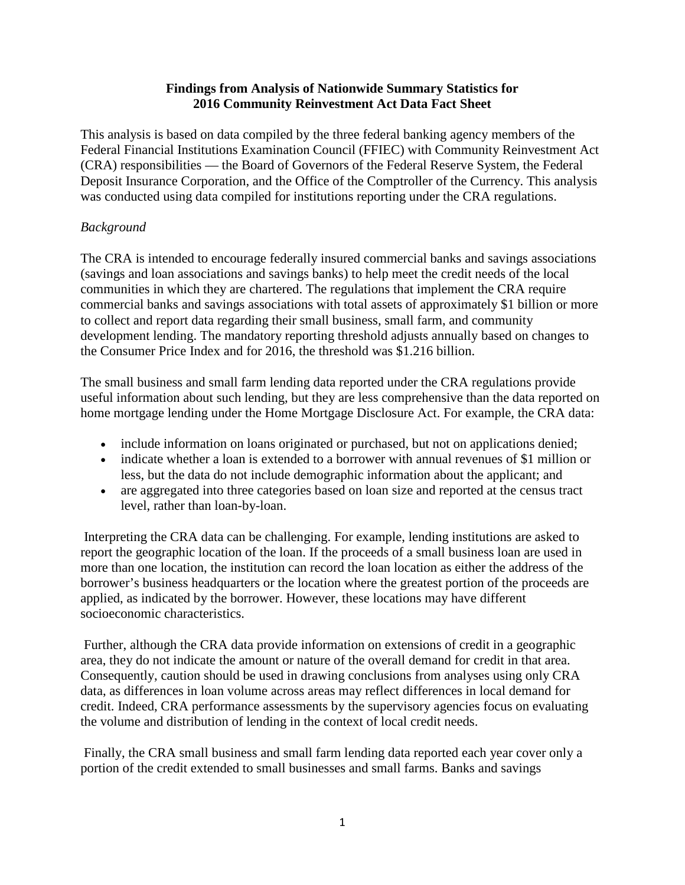### **Findings from Analysis of Nationwide Summary Statistics for 2016 Community Reinvestment Act Data Fact Sheet**

This analysis is based on data compiled by the three federal banking agency members of the Federal Financial Institutions Examination Council (FFIEC) with Community Reinvestment Act (CRA) responsibilities — the Board of Governors of the Federal Reserve System, the Federal Deposit Insurance Corporation, and the Office of the Comptroller of the Currency. This analysis was conducted using data compiled for institutions reporting under the CRA regulations.

# *Background*

The CRA is intended to encourage federally insured commercial banks and savings associations (savings and loan associations and savings banks) to help meet the credit needs of the local communities in which they are chartered. The regulations that implement the CRA require commercial banks and savings associations with total assets of approximately \$1 billion or more to collect and report data regarding their small business, small farm, and community development lending. The mandatory reporting threshold adjusts annually based on changes to the Consumer Price Index and for 2016, the threshold was \$1.216 billion.

The small business and small farm lending data reported under the CRA regulations provide useful information about such lending, but they are less comprehensive than the data reported on home mortgage lending under the Home Mortgage Disclosure Act. For example, the CRA data:

- include information on loans originated or purchased, but not on applications denied;
- indicate whether a loan is extended to a borrower with annual revenues of \$1 million or less, but the data do not include demographic information about the applicant; and
- are aggregated into three categories based on loan size and reported at the census tract level, rather than loan-by-loan.

Interpreting the CRA data can be challenging. For example, lending institutions are asked to report the geographic location of the loan. If the proceeds of a small business loan are used in more than one location, the institution can record the loan location as either the address of the borrower's business headquarters or the location where the greatest portion of the proceeds are applied, as indicated by the borrower. However, these locations may have different socioeconomic characteristics.

Further, although the CRA data provide information on extensions of credit in a geographic area, they do not indicate the amount or nature of the overall demand for credit in that area. Consequently, caution should be used in drawing conclusions from analyses using only CRA data, as differences in loan volume across areas may reflect differences in local demand for credit. Indeed, CRA performance assessments by the supervisory agencies focus on evaluating the volume and distribution of lending in the context of local credit needs.

Finally, the CRA small business and small farm lending data reported each year cover only a portion of the credit extended to small businesses and small farms. Banks and savings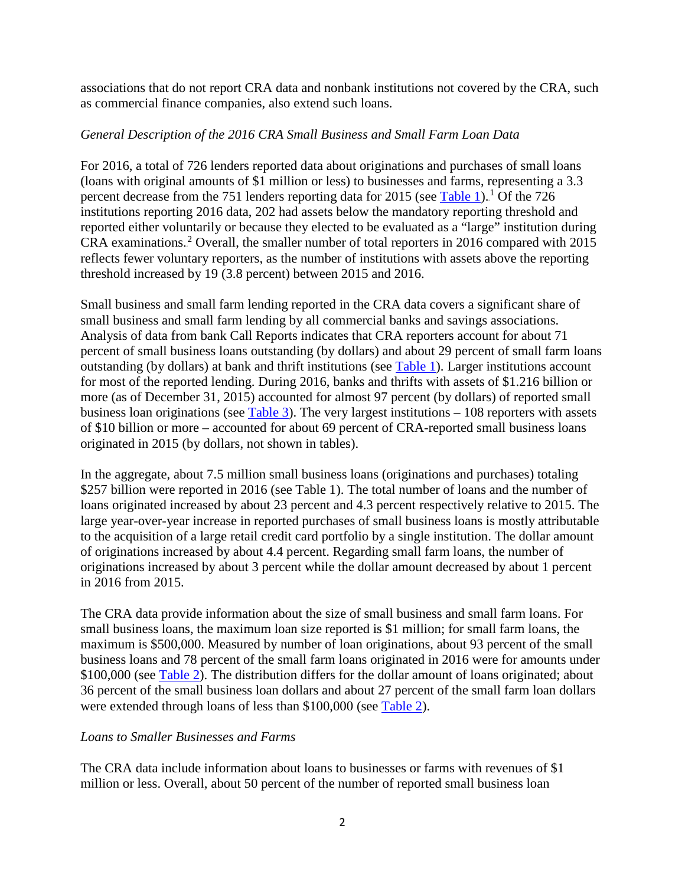associations that do not report CRA data and nonbank institutions not covered by the CRA, such as commercial finance companies, also extend such loans.

### *General Description of the 2016 CRA Small Business and Small Farm Loan Data*

For 2016, a total of 726 lenders reported data about originations and purchases of small loans (loans with original amounts of \$1 million or less) to businesses and farms, representing a 3.3 percent decrease from the 751 lenders reporting data for 2015 (see [Table 1\)](http://www.ffiec.gov/hmcrpr/cra09tables1-5.pdf).<sup>1</sup> Of the 726 institutions reporting 2016 data, 202 had assets below the mandatory reporting threshold and reported either voluntarily or because they elected to be evaluated as a "large" institution during CRA examinations.<sup>2</sup> Overall, the smaller number of total reporters in 2016 compared with 2015 reflects fewer voluntary reporters, as the number of institutions with assets above the reporting threshold increased by 19 (3.8 percent) between 2015 and 2016.

Small business and small farm lending reported in the CRA data covers a significant share of small business and small farm lending by all commercial banks and savings associations. Analysis of data from bank Call Reports indicates that CRA reporters account for about 71 percent of small business loans outstanding (by dollars) and about 29 percent of small farm loans outstanding (by dollars) at bank and thrift institutions (see [Table 1\)](http://www.ffiec.gov/hmcrpr/cra09tables1-5.pdf). Larger institutions account for most of the reported lending. During 2016, banks and thrifts with assets of \$1.216 billion or more (as of December 31, 2015) accounted for almost 97 percent (by dollars) of reported small business loan originations (see [Table 3\)](http://www.ffiec.gov/hmcrpr/cra09tables1-5.pdf#table3). The very largest institutions  $-108$  reporters with assets of \$10 billion or more – accounted for about 69 percent of CRA-reported small business loans originated in 2015 (by dollars, not shown in tables).

In the aggregate, about 7.5 million small business loans (originations and purchases) totaling \$257 billion were reported in 2016 (see Table 1). The total number of loans and the number of loans originated increased by about 23 percent and 4.3 percent respectively relative to 2015. The large year-over-year increase in reported purchases of small business loans is mostly attributable to the acquisition of a large retail credit card portfolio by a single institution. The dollar amount of originations increased by about 4.4 percent. Regarding small farm loans, the number of originations increased by about 3 percent while the dollar amount decreased by about 1 percent in 2016 from 2015.

The CRA data provide information about the size of small business and small farm loans. For small business loans, the maximum loan size reported is \$1 million; for small farm loans, the maximum is \$500,000. Measured by number of loan originations, about 93 percent of the small business loans and 78 percent of the small farm loans originated in 2016 were for amounts under \$100,000 (see [Table 2\)](http://www.ffiec.gov/hmcrpr/cra09tables1-5.pdf#table2). The distribution differs for the dollar amount of loans originated; about 36 percent of the small business loan dollars and about 27 percent of the small farm loan dollars were extended through loans of less than \$100,000 (see [Table 2\)](http://www.ffiec.gov/hmcrpr/cra09tables1-5.pdf#table2).

#### *Loans to Smaller Businesses and Farms*

The CRA data include information about loans to businesses or farms with revenues of \$1 million or less. Overall, about 50 percent of the number of reported small business loan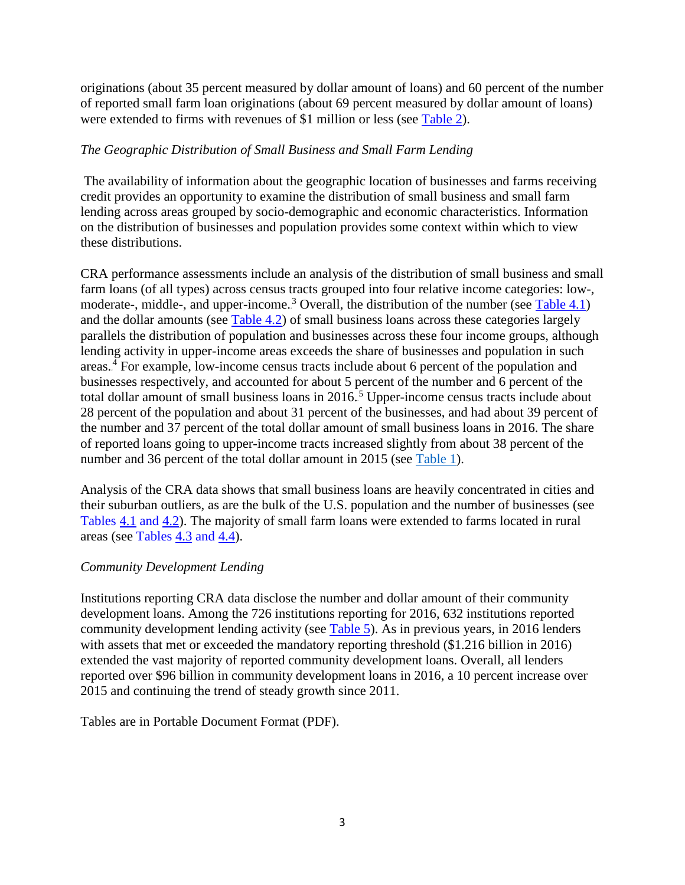originations (about 35 percent measured by dollar amount of loans) and 60 percent of the number of reported small farm loan originations (about 69 percent measured by dollar amount of loans) were extended to firms with revenues of \$1 million or less (see [Table](http://www.ffiec.gov/hmcrpr/cra09tables1-5.pdf#table2) 2).

## *The Geographic Distribution of Small Business and Small Farm Lending*

The availability of information about the geographic location of businesses and farms receiving credit provides an opportunity to examine the distribution of small business and small farm lending across areas grouped by socio-demographic and economic characteristics. Information on the distribution of businesses and population provides some context within which to view these distributions.

CRA performance assessments include an analysis of the distribution of small business and small farm loans (of all types) across census tracts grouped into four relative income categories: low-, moderate-, middle-, and upper-income.<sup>3</sup> Overall, the distribution of the number (see [Table 4.1\)](http://www.ffiec.gov/hmcrpr/cra09tables1-5.pdf#table4.1) and the dollar amounts (see [Table 4.2\)](http://www.ffiec.gov/hmcrpr/cra09tables1-5.pdf#table4.2) of small business loans across these categories largely parallels the distribution of population and businesses across these four income groups, although lending activity in upper-income areas exceeds the share of businesses and population in such areas.<sup>4</sup> For example, low-income census tracts include about 6 percent of the population and businesses respectively, and accounted for about 5 percent of the number and 6 percent of the total dollar amount of small business loans in 2016.<sup>5</sup> Upper-income census tracts include about 28 percent of the population and about 31 percent of the businesses, and had about 39 percent of the number and 37 percent of the total dollar amount of small business loans in 2016. The share of reported loans going to upper-income tracts increased slightly from about 38 percent of the number and 36 percent of the total dollar amount in 2015 (see [Table 1\)](https://www.ffiec.gov/hmcrpr/cra09tables1-5.pdf).

Analysis of the CRA data shows that small business loans are heavily concentrated in cities and their suburban outliers, as are the bulk of the U.S. population and the number of businesses (see Tables [4.1](http://www.ffiec.gov/hmcrpr/cra09tables1-5.pdf#table4.1) and [4.2\)](http://www.ffiec.gov/hmcrpr/cra09tables1-5.pdf#table4.2). The majority of small farm loans were extended to farms located in rural areas (see Tables  $4.3$  and  $4.4$ ).

## *Community Development Lending*

Institutions reporting CRA data disclose the number and dollar amount of their community development loans. Among the 726 institutions reporting for 2016, 632 institutions reported community development lending activity (see [Table 5\)](http://www.ffiec.gov/hmcrpr/cra09tables1-5.pdf#table5). As in previous years, in 2016 lenders with assets that met or exceeded the mandatory reporting threshold  $(\$1.216$  billion in 2016) extended the vast majority of reported community development loans. Overall, all lenders reported over \$96 billion in community development loans in 2016, a 10 percent increase over 2015 and continuing the trend of steady growth since 2011.

Tables are in Portable Document Format (PDF).